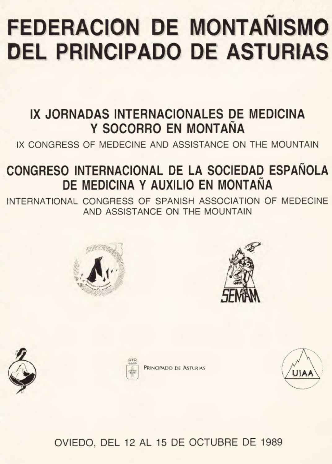### **FEDERACION DE MONTAÑISMO DEL PRINCIPADO DE ASTURIAS**

#### IX JORNADAS INTERNACIONALES DE MEDICINA Y SOCORRO EN MONTAÑA

IX CONGRESS OF MEDECINE AND ASSISTANCE ON THE MOUNTAIN

#### CONGRESO INTERNACIONAL DE LA SOCIEDAD ESPAÑOLA DE MEDICINA Y AUXILIO EN MONTAÑA

INTERNATIONAL CONGRESS OF SPANISH ASSOCIATION OF MEDECINE AND ASSISTANCE ON THE MOUNTAIN









RINCIPADO DE ASTURIAS



OVIEDO. DEL 12 AL 15 DE OCTUBRE DE 1989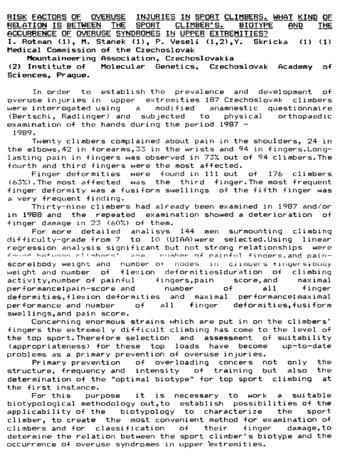RISK FACTORS OF OVERUSE INJURIES IN SPORT CLIMBERS, WHAT KIND OF RELATION IS RETWEEN THE SPORT CLIMBER'S. BIOTYPE AND THE ACCURRENCE OF OVERUSE SYNDROMES IN UPPER EXTREMITIES? I. Rotman (1), M. Stanek (1), P. Veseli (1,2), Y. Skricka (1) (1) Medical Commission of the Czechoslovak

Mountaineering Association, Czechoslovakia

(2) Institute of Molecular Genetics. Czechoslovak Academy of Sciences, Praque.

In order to establish the prevalence and development of overuse injuries in unner extremities 187 Czechoslovak climbers were interrogated using a modified anamnestic questionnaire (Bertschi, Radlinger) and subjected to physical orthonaedic examination of the bands during the neriod 1987 - $1989.$ 

Twenty climbers complained about pain in the shoulders, 24 in the elbows.42 in forearms.33 in the wrists and 94 in fingers.Longlasting pain in fingers was observed in 73% out of 94 climbers. The fourth and third fingers were the most affected.

Einger deformities, were, found in 111 out, of, 176, climbers (63%). The most affected was the third finger. The most frequent finger deformity was a fusiform swellings of the fifth finger was a very frequent finding.

Thirty-nine climbers had already been examined in 1987 and/or in 1988 and the reneated examination showed a deterioration of finger damage in 23 (60%) of them.

For more detailed analisys 144 men surmounting climbing  $dist4$ ;  $cut$   $v$ -arade  $fran 7$  to  $10$  (UIAA) were selected Using linear regression analysis significant but not strong relationships were scoreibody weight and number of nodes in climbers fingers; body weight and number of flexion deformities; duration of climbing activity, number of painful fingers, pain score, and maximal nerformanceinain-score and number of  $a11$ finner deformities.flexion deformities and maximal performance; maximal performance and number  $of$ all finger deformities.fusiform swellings.and pain score.

Concerning enormous strains which are put in on the climbers' fingers the extremel y difficult climbing has come to the level of the top sport. Therefore selection and assessment of suitability (appropriateness) for these top loads have become up-to-date problems as a primary prevention of overuse injuries.

Primary prevention of overloading concers not only the structure, frequency and intensity of training but also the determination of the "optimal biotype" for top sport climbing at the first instance.

For this purpose it is necessary to work a suitable biotypological methodology out to establish possibilities of the applicability of the biotypology to characterize  $+<sub>ba</sub>$ snort climber, to create the most convenient method for examination of climbers and for classification of their finger damage.to determine the relation between the sport climber's biotype and the occurrence of overuse syndromes in upper extremities.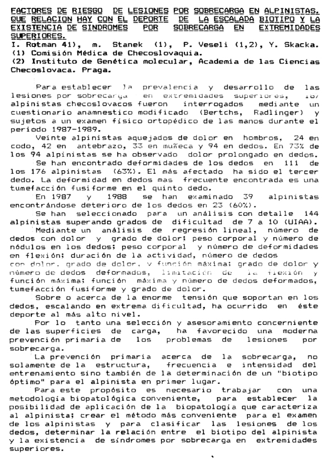FACTORES DE RIESGO DE LESIONES POR SOBRECARGA EN ALPINISTAS. QUE RELACION HAY CON EL DEPORTE DE LA ESCALADA BIOTIPO Y LA EXISTENCIA DE SINDROMES POR SOBRECARGA EN EXTREMIDADES SUPERIORES.

I. Rotman 41), m. Stanek (1), P. Veseli (1.2), Y. Skacka, (1) Comisión Médica de Checoslovaquia.

(2) Instituto de Genética molecular. Academia de las Ciencias Checoslovaca, Praga.

Para establecer la prevalencia y desarrollo de las lesiones por sobrecarga en extremidades superiores.  $1.89$ alninistas checoslovacos fueron interrogados mediante un cuestionario anamnestico modificado (Bertchs, Radlinger) y sujetos a un examen físico ortopédico de las manos durante el periodo 1987-1989.

Veinte alpinistas aquejados de dolor en hombros. 24 en codo, 42 en antebrazo, 33 en muñeca y 94 en dedos. En 73% de los 94 alpinistas se ha observado dolor prolongado en dedos.

Se han encontrado deformidades de los dedos en 111 de los 176 alpinistas (63%). El más afectado ha sido el tercer dedo. La deformidad en dedos mas frecuente encontrada es una tumefacción fusiforme en el quinto dedo.

En 1987  $\sqrt{1988}$  se han examinado 39 alpinistas encontrándose deterioro de los dedos en 23 (60%).

Se han seleccionado para un análisis con detalle 144 aloinistas superando grados de dificultad de 7 a 10 (UIAA).

Mediante un análisis de regresión lineal, número de dedos con dolor y grado de dolorí peso corporal y número de nódulos en los dedos; peso corporal y número de deformidades en flexión: duración de la actividad, número de dedos con dolor, grado de dolor, y función máxima; grado de dolor y número de dedos deformados, limitación de la flexión y función máxima: función máxima y número de dedos deformados. tumefacción fusiforme y grado de dolor.

Sobre o acerca de la enorme tensión que soportan en los dedos, escalando en extrema dificultad, ha ocurrido en éste deporte al más alto nivel.

Por lo tanto una selección y asesoramiento concerniente de las superficies de carga, ha favorecido una moderna prevención primaria de los problemas de lesiones por sobrecarna.

La prevención primaria acerca de la sobrecarga, no solamente de la estructura, frecuencia e intensidad del entrenamiento sino también de la determinación de un "biotipo óptimo" para el alpinista en primer lugar.

metodología biopatológica conveniente, para establecer la posibilidad de aplicación de la biopatología que caracteriza al alpinista; crear el método más conveniente para el examen de los alpinistas y para clasificar las lesiones de los dedos, determinar la relación entre el biotipo del alpinista y la existencia de síndromes por sobrecarga en extremidades superiores.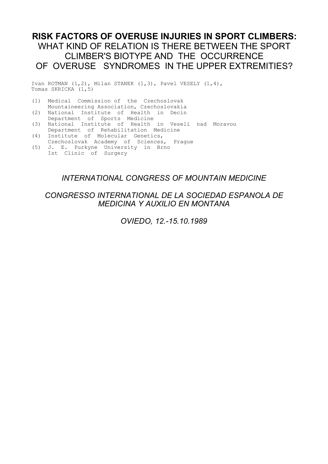# **RISK FACTORS OF OVERUSE INJURIES IN SPORT CLIMBERS:** WHAT KIND OF RELATION IS THERE BETWEEN THE SPORT CLIMBER'S BIOTYPE AND THE OCCURRENCE OF OVERUSE SYNDROMES IN THE UPPER EXTREMITIES?

Ivan ROTMAN (1,2), Milan STANEK (1,3), Pavel VESELY (1,4), Tomas SKRICKA (1,5)

- (1) Medical Commission of the Czechoslovak Mountaineering Association, Czechoslovakia (2) National Institute of Health in Decin
- Department of Sports Medicine
- (3) National Institute of Health in Veselí nad Moravou
- Department of Rehabilitation Medicine (4) Institute of Molecular Genetics,
- Czechoslovak Academy of Sciences, Prague (5) J. E. Purkyne University in Brno
- Ist Clinic of Surgery

## *INTERNATIONAL CONGRESS OF MOUNTAIN MEDICINE*

## *CONGRESSO INTERNATIONAL DE LA SOCIEDAD ESPANOLA DE MEDICINA Y AUXILIO EN MONTANA*

*OVIEDO, 12.-15.10.1989*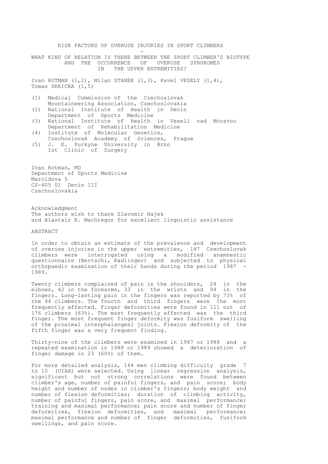RISK FACTORS OF OVERUSE INJURIES IN SPORT CLIMBERS and the contract of the contract of the contract of the contract of the contract of the contract of the contract of WHAT KIND OF RELATION IS THERE BETWEEN THE SPORT CLIMBER'S BIOTYPE AND THE OCCURRENCE OF OVERUSE SYNDROMES IN THE UPPER EXTREMITIES? Ivan ROTMAN (1,2), Milan STANEK (1,3), Pavel VESELY (1,4), Tomas SKRICKA (1,5) (1) Medical Commission of the Czechoslovak Mountaineering Association, Czechoslovakia (2) National Institute of Health in Decin Department of Sports Medicine (3) National Institute of Health in Veselí nad Moravou Department of Rehabilitation Medicine (4) Institute of Molecular Genetics, Czechoslovak Academy of Sciences, Prague (5) J. E. Purkyne University in Brno Ist Clinic of Surgery Ivan Rotman, MD

Department of Sports Medicine Maroldova 5 CS-405 01 Decin III Czechoslovakia

Acknowledgment The authors wish to thank Slavomir Hajek and Alastair R. MacGregor for excellent linguistic assistance

ABSTRACT

In order to obtain an estimate of the prevalence and development of overuse injuries in the upper extremities, 187 Czechoslovak climbers were interrogated using a modified anamnestic questionnaire (Bertschi, Radlinger) and subjected to physical orthopaedic examination of their hands during the period 1987 1989.

Twenty climbers complained of pain in the shoulders, 24 in the elbows, 42 in the forearms, 33 in the wrists and 94 in the fingers. Long-lasting pain in the fingers was reported by 73% of the 94 climbers. The fourth and third fingers were the most frequently affected. Finger deformities were found in 111 out of 176 climbers (63%). The most frequently affected was the third finger. The most frequent finger deformity was fusiform swelling of the proximal interphalangeal joints. Flexion deformity of the fifth finger was a very frequent finding.

Thirty-nine of the climbers were examined in 1987 or 1988 and a repeated examination in 1988 or 1989 showed a deterioration of finger damage in 23 (60%) of them.

For more detailed analysis, 144 men climbing difficulty grade 7 to 10 (UIAA) were selected. Using linear regression analysis, significant but not strong correlations were found between climber's age, number of painful fingers, and pain score; body height and number of nodes in climber's fingers; body weight and number of flexion deformities; duration of climbing activity, number of painful fingers, pain score, and maximal performance; training and maximal performance; pain score and number of finger deformities, flexion deformities, and maximal performance; maximal performance and number of finger deformities, fusiform swellings, and pain score.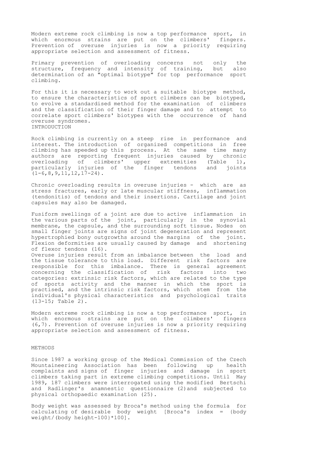Modern extreme rock climbing is now a top performance sport, in which enormous strains are put on the climbers' fingers. Prevention of overuse injuries is now a priority requiring appropriate selection and assessment of fitness.

Primary prevention of overloading concerns not only the structure, frequency and intensity of training, but also structure, frequency and intensity of training, but determination of an "optimal biotype" for top performance sport climbing.

For this it is necessary to work out a suitable biotype method, to ensure the characteristics of sport climbers can be biotyped, to evolve a standardised method for the examination of climbers and the classification of their finger damage and to attempt to correlate sport climbers' biotypes with the occurrence of hand overuse syndromes. INTRODUCTION

Rock climbing is currently on a steep rise in performance and interest. The introduction of organized competitions in free climbing has speeded up this process. At the same time many authors are reporting frequent injuries caused by chronic overloading of climbers' upper extremities (Table 1), particularly injuries of the finger tendons and joints  $(1-6,8,9,11,12,17-24)$ .

Chronic overloading results in overuse injuries - which are as stress fractures, early or late muscular stiffness, inflammation (tendonitis) of tendons and their insertions. Cartilage and joint capsules may also be damaged.

Fusiform swellings of a joint are due to active inflammation in the various parts of the joint, particularly in the synovial membrane, the capsule, and the surrounding soft tissue. Nodes on small finger joints are signs of joint degeneration and represent hypertrophied bony outgrowths around the margins of the joint. Flexion deformities are usually caused by damage and shortening of flexor tendons (16). Overuse injuries result from an imbalance between the load and the tissue tolerance to this load. Different risk factors are responsible for this imbalance. There is general agreement concerning the classification of risk factors into two categories: extrinsic risk factors, which are related to the type of sports activity and the manner in which the sport is

practised, and the intrinsic risk factors, which stem from the individual's physical characteristics and psychological traits (13-15; Table 2).

Modern extreme rock climbing is now a top performance sport, in which enormous strains are put on the climbers' fingers (6,7). Prevention of overuse injuries is now a priority requiring appropriate selection and assessment of fitness.

#### METHODS

Since 1987 a working group of the Medical Commission of the Czech Mountaineering Association has been following up health complaints and signs of finger injuries and damage in sport climbers taking part in extreme climbing competitions. Until May 1989, 187 climbers were interrogated using the modified Bertschi and Radlinger's anamnestic questionnaire (2)and subjected to physical orthopaedic examination (25).

Body weight was assessed by Broca's method using the formula for calculating of desirable body weight [Broca's index = {body weight/(body height-100}\*100].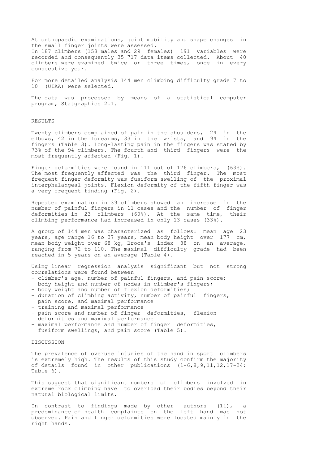At orthopaedic examinations, joint mobility and shape changes in the small finger joints were assessed. In 187 climbers (158 males and 29 females) 191 variables were recorded and consequently 35 717 data items collected. About 40 climbers were examined twice or three times, once in every consecutive year.

For more detailed analysis 144 men climbing difficulty grade 7 to 10 (UIAA) were selected.

The data was processed by means of a statistical computer program, Statgraphics 2.1.

#### RESULTS

Twenty climbers complained of pain in the shoulders, 24 in the elbows, 42 in the forearms, 33 in the wrists, and 94 in the fingers (Table 3). Long-lasting pain in the fingers was stated by 73% of the 94 climbers. The fourth and third fingers were the most frequently affected (Fig. 1).

Finger deformities were found in 111 out of 176 climbers, (63%). The most frequently affected was the third finger. The most frequent finger deformity was fusiform swelling of the proximal interphalangeal joints. Flexion deformity of the fifth finger was a very frequent finding (Fig. 2).

Repeated examination in 39 climbers showed an increase in the number of painful fingers in 11 cases and the number of finger deformities in 23 climbers (60%). At the same time, their climbing performance had increased in only 13 cases (33%).

A group of 144 men was characterized as follows: mean age 23 years, age range 16 to 37 years, mean body height over  $177$  cm, mean body weight over 68 kg, Broca's index 88 on an average, ranging from 72 to 110. The maximal difficulty grade had been reached in 5 years on an average (Table 4).

Using linear regression analysis significant but not strong correlations were found between

- climber's age, number of painful fingers, and pain score;
- body height and number of nodes in climber's fingers;
- body weight and number of flexion deformities;
- duration of climbing activity, number of painful fingers, pain score, and maximal performance
- training and maximal performance - pain score and number of finger deformities, flexion
- deformities and maximal performance
- maximal performance and number of finger deformities, fusiform swellings, and pain score (Table 5).

#### DISCUSSION

The prevalence of overuse injuries of the hand in sport climbers is extremely high. The results of this study confirm the majority of details found in other publications (1-6,8,9,11,12,17-24; Table 6).

This suggest that significant numbers of climbers involved in extreme rock climbing have to overload their bodies beyond their natural biological limits.

In contrast to findings made by other authors (11), a predominance of health complaints on the left hand was not observed. Pain and finger deformities were located mainly in the right hands.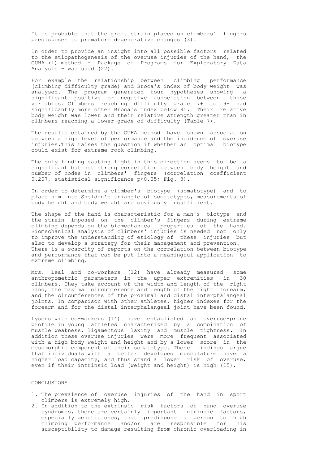It is probable that the great strain placed on climbers' fingers predisposes to premature degenerative changes (3).

In order to provide an insight into all possible factors related to the etiopathogenesis of the overuse injuries of the hand, the GUHA (1) method - Package of Programs for Exploratory Data Analysis - was used (22).

For example the relationship between climbing performance (climbing difficulty grade) and Broca's index of body weight was analysed. The program generated four hypotheses showing a significant positive or negative association between these variables. Climbers reaching difficulty grade 7+ to 9- had significantly more often Broca's index below 85. Their relative body weight was lower and their relative strength greater than in climbers reaching a lower grade of difficulty (Table 7).

The results obtained by the GUHA method have shown association between a high level of performance and the incidence of overuse injuries.This raises the question if whether an optimal biotype could exist for extreme rock climbing.

The only finding casting light in this direction seems to be a significant but not strong correlation between body height and number of nodes in climbers' fingers (correlation coefficient 0.207, statistical significance p<0.05; Fig. 3).

In order to determine a climber's biotype (somatotype) and to place him into Sheldon's triangle of somatotypes, measurements of body height and body weight are obviously insufficient.

The shape of the hand is characteristic for a man's biotype and the strain imposed on the climber's fingers during extreme climbing depends on the biomechanical properties of the hand. Biomechanical analysis of climbers' injuries is needed not only to improve the understanding of etiology of these injuries but also to develop a strategy for their management and prevention. There is a scarcity of reports on the correlation between biotype and performance that can be put into a meaningful application to extreme climbing.

Mrs. Leal and co-workers (12) have already measured some anthropometric parameters in the upper extremities in 30 climbers. They take account of the width and length of the right hand, the maximal circumference and length of the right forearm, and the circumferences of the proximal and distal interphalangeal joints. In comparison with other athletes, higher indexes for the forearm and for the distal interphalangeal joint have been found.

Lysens with co-workers (14) have established an overuse-prone profile in young athletes characterized by a combination of muscle weakness, ligamentous laxity and muscle tightness. In addition these overuse injuries were more frequent associated with a high body weight and height and by a lower score in the mesomorphic component of their somatotype. These findings argue that individuals with a better developed musculature have a higher load capacity, and thus stand a lower risk of overuse, even if their intrinsic load (weight and height) is high (15).

### CONCLUSIONS

- 1. The prevalence of overuse injuries of the hand in sport climbers is extremely high.
- 2. In addition to the extrinsic risk factors of hand overuse syndromes, there are certainly important intrinsic factors, especially genetic ones, that predispose a person to high climbing performance and/or are responsible for his susceptibility to damage resulting from chronic overloading in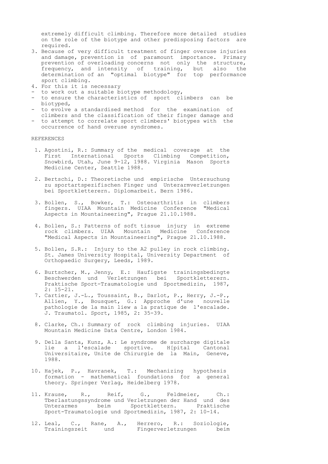extremely difficult climbing. Therefore more detailed studies on the role of the biotype and other predisposing factors are required.

- 3. Because of very difficult treatment of finger overuse injuries and damage, prevention is of paramount importance. Primary prevention of overloading concerns not only the structure, frequency, and intensity of training, but also the determination of an "optimal biotype" for top performance sport climbing.
- 4. For this it is necessary
- to work out a suitable biotype methodology,
- to ensure the characteristics of sport climbers can be biotyped,
- to evolve a standardised method for the examination of climbers and the classification of their finger damage and
- to attempt to correlate sport climbers' biotypes with the occurrence of hand overuse syndromes.

REFERENCES

- 1. Agostini, R.: Summary of the medical coverage at the First International Sports Climbing Competition, Snowbird, Utah, June 9-12, 1988. Virginia Mason Sports Medicine Center, Seattle 1988.
- 2. Bertschi, D.: Theoretische und empirische Untersuchung zu sportartspezifischen Finger und Unterarmverletzungen bei Sportkletterern. Diplomarbeit. Bern 1986.
- 3. Bollen, S., Bowker, T.: Osteoarthritis in climbers fingers. UIAA Mountain Medicine Conference "Medical Aspects in Mountaineering", Prague 21.10.1988.
- 4. Bollen, S.: Patterns of soft tissue injury in extreme rock climbers. UIAA Mountain Medicine Conference "Medical Aspects in Mountaineering", Prague 21.10.1988.
- 5. Bollen, S.R.: Injury to the A2 pulley in rock climbing. St. James University Hospital, University Department of Orthopaedic Surgery, Leeds, 1989.
- 6. Burtscher, M., Jenny, E.: Haufigste trainingsbedingte Beschwerden und Verletzungen bei Sportkletterern. Praktische Sport-Traumatologie und Sportmedizin, 1987, 2: 15-21.
- 7. Cartier, J.-L., Toussaint, B., Darlot, P., Herry, J.-P., Allien, Y., Bousquet, G.: Approche d'une nouvelle pathologie de la main liew a la pratique de l'escalade. J. Traumatol. Sport, 1985, 2: 35-39.
- 8. Clarke, Ch.: Summary of rock climbing injuries. UIAA Mountain Medicine Data Centre, London 1984.
- 9. Della Santa, Kunz, A.: Le syndrome de surcharge digitale lie a l'escalade sportive. H[pital Cantonal Universitaire, Unite de Chirurgie de la Main, Geneve, 1988.
- 10. Hajek, P., Havranek, T.: Mechanizing hypothesis formation - mathematical foundations for a general theory. Springer Verlag, Heidelberg 1978.
- 11. Krause, R., Reif, G., Feldmeier, Ch.: Tberlastungssyndrome und Verletzungen der Hand und des Unterarmes beim Sportklettern. Sport-Traumatologie und Sportmedizin, 1987, 2: 10-14.
- 12. Leal, C., Rane, A., Herrero, R.: Soziologie, Trainingszeit und Fingerverletzungen beim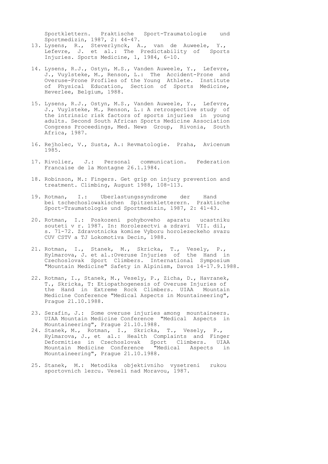Sportklettern. Praktische Sport-Traumatologie und Sportmedizin, 1987, 2: 44-47.

- 13. Lysens, R., Steverlynck, A., van de Auweele, Y., Lefevre, J. et al.: The Predictability of Sports Injuries. Sports Medicine, 1, 1984, 6-10.
- 14. Lysens, R.J., Ostyn, M.S., Vanden Auweele, Y., Lefevre, J., Vuylsteke, M., Renson, L.: The Accident-Prone and Overuse-Prone Profiles of the Young Athlete. Institute of Physical Education, Section of Sports Medicine, Heverlee, Belgium, 1988.
- 15. Lysens, R.J., Ostyn, M.S., Vanden Auweele, Y., Lefevre, J., Vuylsteke, M., Renson, L.: A retrospective study of the intrinsic risk factors of sports injuries in young adults. Second South African Sports Medicine Association Congress Proceedings, Med. News Group, Rivonia, South Africa, 1987.
- 16. Rejholec, V., Susta, A.: Revmatologie. Praha, Avicenum 1985.
- 17. Rivolier, J.: Personal communication. Federation Francaise de la Montagne 26.1.1984.
- 18. Robinson, M.: Fingers. Get grip on injury prevention and treatment. Climbing, August 1988, 108-113.
- 19. Rotman, I.: Uberlastungssyndrome der Hand bei tschechoslowakischen Spitzenkletterern. Praktische Sport-Traumatologie und Sportmedizin, 1987, 2: 41-43.
- 20. Rotman, I.: Poskozeni pohyboveho aparatu ucastniku souteti v r. 1987. In: Horolezectvi a zdravi VII. dil, s. 71-72. Zdravotnicka komise Vyboru horolezeckeho svazu CUV CSTV a TJ Lokomotiva Decin, 1988.
- 21. Rotman, I., Stanek, M., Skricka, T., Vesely, P., Hylmarova, J. et al.:Overuse Injuries of the Hand in Czechoslovak Sport Climbers. International Symposium "Mountain Medicine" Safety in Alpinism, Davos 14-17.9.1988.
- 22. Rotman, I., Stanek, M., Vesely, P., Zicha, D., Havranek, T., Skricka, T: Etiopathogenesis of Overuse Injuries of the Hand in Extreme Rock Climbers. UIAA Mountain Medicine Conference "Medical Aspects in Mountaineering", Prague 21.10.1988.
- 23. Serafin, J.: Some overuse injuries among mountaineers. UIAA Mountain Medicine Conference "Medical Aspects in Mountaineering", Prague 21.10.1988.
- 24. Stanek, M., Rotman, I., Skricka, T., Vesely, P., Hylmarova, J., et al.: Health Complaints and Finger Deformities in Czechoslovak Sport Climbers. UIAA Mountain Medicine Conference "Medical Aspects in Mountaineering", Prague 21.10.1988.
- 25. Stanek, M.: Metodika objektivniho vysetreni rukou sportovnich lezcu. Veseli nad Moravou, 1987.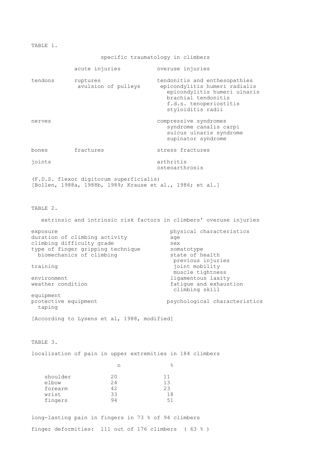TABLE 1.

specific traumatology in climbers

|                                                                                                                                      | acute injuries                                                                                       | overuse injuries                                                                                                                                                                                                                      |  |  |  |
|--------------------------------------------------------------------------------------------------------------------------------------|------------------------------------------------------------------------------------------------------|---------------------------------------------------------------------------------------------------------------------------------------------------------------------------------------------------------------------------------------|--|--|--|
| tendons                                                                                                                              | ruptures<br>avulsion of pulleys                                                                      | tendonitis and enthesopathies<br>epicondylitis humeri radialis<br>epicondylitis humeri ulnaris<br>brachial tendonitis<br>f.d.s. tenoperiostitis<br>styloiditis radii                                                                  |  |  |  |
| nerves                                                                                                                               |                                                                                                      | compressive syndromes<br>syndrome canalis carpi<br>sulcus ulnaris syndrome<br>supinator syndrome                                                                                                                                      |  |  |  |
| bones                                                                                                                                | fractures                                                                                            | stress fractures                                                                                                                                                                                                                      |  |  |  |
| joints                                                                                                                               |                                                                                                      | arthritis<br>osteoarthrosis                                                                                                                                                                                                           |  |  |  |
|                                                                                                                                      | (F.D.S. flexor digitorum superficialis)<br>[Bollen, 1988a, 1988b, 1989; Krause et al., 1986; et al.] |                                                                                                                                                                                                                                       |  |  |  |
| TABLE 2.                                                                                                                             |                                                                                                      |                                                                                                                                                                                                                                       |  |  |  |
|                                                                                                                                      |                                                                                                      | extrinsic and intrinsic risk factors in climbers' overuse injuries                                                                                                                                                                    |  |  |  |
| exposure<br>climbing difficulty grade<br>training<br>environment<br>weather condition<br>equipment<br>protective equipment<br>taping | duration of climbing activity<br>type of finger gripping technique<br>biomechanics of climbing       | physical characteristics<br>age<br>sex<br>somatotype<br>state of health<br>previous injuries<br>joint mobility<br>muscle tightness<br>ligamentous laxity<br>fatigue and exhaustion<br>climbing skill<br>psychological characteristics |  |  |  |
|                                                                                                                                      | [According to Lysens et al, 1988, modified]                                                          |                                                                                                                                                                                                                                       |  |  |  |
| TABLE 3.                                                                                                                             |                                                                                                      |                                                                                                                                                                                                                                       |  |  |  |
|                                                                                                                                      | localization of pain in upper extremities in 184 climbers                                            |                                                                                                                                                                                                                                       |  |  |  |
|                                                                                                                                      | n                                                                                                    | g.                                                                                                                                                                                                                                    |  |  |  |
| shoulder<br>elbow<br>forearm<br>wrist<br>fingers                                                                                     | 20<br>24<br>42<br>33<br>94                                                                           | 11<br>13<br>23<br>18<br>51                                                                                                                                                                                                            |  |  |  |
|                                                                                                                                      | long-lasting pain in fingers in 73 % of 94 climbers                                                  |                                                                                                                                                                                                                                       |  |  |  |

finger deformities: 111 out of 176 climbers ( 63 % )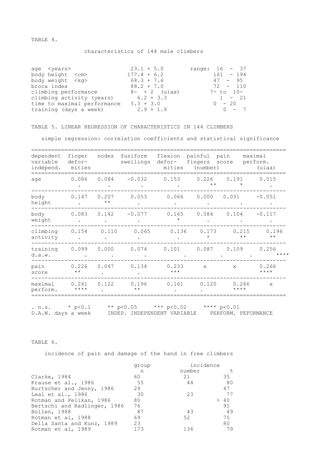TABLE 4.

### characteristics of 144 male climbers

| age <years></years>         | $23.1 + 5.0$     | range: $16 - 37$ |
|-----------------------------|------------------|------------------|
| body height <cm></cm>       | $177.4 + 6.2$    | $161 - 194$      |
| body weight <kg></kg>       | $68.3 + 7.6$     | $47 - 95$        |
| broca index                 | $88.2 + 7.0$     | $72 - 110$       |
| climbing performance        | $8 - + 2$ (uiaa) | $7 - to 10 -$    |
| climbing activity (years)   | $6.2 + 3.3$      | $1 - 21$         |
| time to maximal performance | $5.3 + 3.0$      | $0 - 20$         |
| training (days a week)      | $2.9 + 1.9$      | $0 - 7$          |

### TABLE 5. LINEAR REGRESSION OF CHARACTERISTICS IN 144 CLIMBERS

simple regression: correlation coefficients and statistical significance

| dependent<br>variable<br>independ. | finger<br>defor-<br>mities | nodes                 | fusiform<br>swellings |                  | flexion painful pain<br>mities (number) | defor- fingers score perform. | maximal<br>(uiaa)     |
|------------------------------------|----------------------------|-----------------------|-----------------------|------------------|-----------------------------------------|-------------------------------|-----------------------|
| age                                | 0.086                      | 0.084                 | $-0.032$              | 0.153            | 0.226<br>$\star\star$                   | 0.191<br>$\star$              | 0.015                 |
| body<br>height                     | 0.147                      | 0.207<br>$\star\star$ | 0.053                 |                  |                                         | $0.066$ $0.000$ $0.031$       | $-0.051$              |
| body<br>weight                     | 0.083                      | 0.142                 | $-0.077$              | 0.165<br>$\star$ | 0.084                                   | 0.104                         | $-0.117$              |
| climbing<br>activity               | 0.154                      | 0.110                 | 0.065                 |                  | $0.136$ $0.173$<br>$\star$              | 0.215<br>$\star\star$         | 0.196<br>$\star\star$ |
| training<br>d.a.w.                 | 0.099                      | 0.000                 | 0.074                 | 0.101            |                                         | $0.087$ $0.109$               | 0.256<br>$***$ * * *  |
| pain<br>score                      | 0.226<br>$\star\star$      | 0.047                 | 0.134                 | 0.233<br>$***$   | $\mathbf{x}$                            | $\mathbf{x}$                  | 0.266<br>$***$ *      |
| maximal<br>perform.                | 0.261<br>$***$ *           | 0.122                 | 0.196<br>$\star\star$ | 0.161            | 0.120                                   | 0.266<br>$***$ *              | $\mathbf{x}$          |

. n.s. \* p<0.1 \*\* p<0.05 \*\*\* p<0.02 \*\*\*\* p<0.01 D.A.W. days a week INDEP. INDEPENDENT VARIABLE PERFORM. PEFORMANCE

TABLE 6.

incidence of pain and damage of the hand in free climbers

| group | incidence |     |
|-------|-----------|-----|
| n     | number    | ್ಠಿ |
| 60    | 21        | 35  |
| 55    | 44        | 80  |
| 29    |           | 47  |
| 30    | 23        | 77  |
| 80    |           | >40 |
| 76    |           | 91  |
| 87    | 43        | -49 |
| 69    | 52        | 75  |
| 23    |           | 80  |
| 173   | 136       | 79  |
|       |           |     |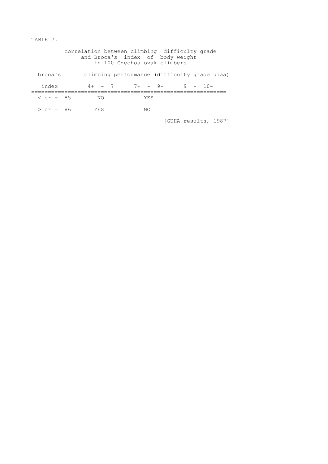TABLE 7.

|                  | correlation between climbing difficulty grade | and Broca's index of body weight<br>in 100 Czechoslovak climbers |     |  |            |
|------------------|-----------------------------------------------|------------------------------------------------------------------|-----|--|------------|
| broca's          |                                               | climbing performance (difficulty grade uiaa)                     |     |  |            |
| index            |                                               | $4+$ - 7 7+ - 9-                                                 |     |  | $9 - 10 -$ |
| $\zeta$ or = 8.5 | NΟ                                            |                                                                  | YES |  |            |
| $>$ or = 86      | YES                                           |                                                                  | NΟ  |  |            |

[GUHA results, 1987]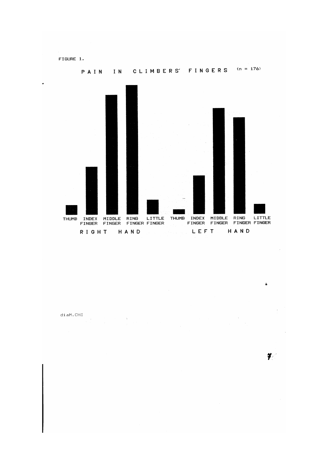FIGURE 1.



 $\texttt{diam.CHI}$ 

 $\frac{3}{2}$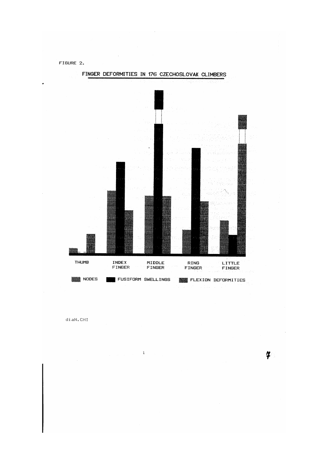FIGURE 2.



 $\,$  i

 $disan.CHT$ 

 $\boldsymbol{\mu}$